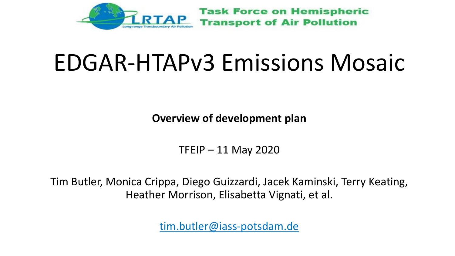

#### EDGAR-HTAPv3 Emissions Mosaic

**Overview of development plan**

TFEIP – 11 May 2020

Tim Butler, Monica Crippa, Diego Guizzardi, Jacek Kaminski, Terry Keating, Heather Morrison, Elisabetta Vignati, et al.

tim.butler@iass-potsdam.de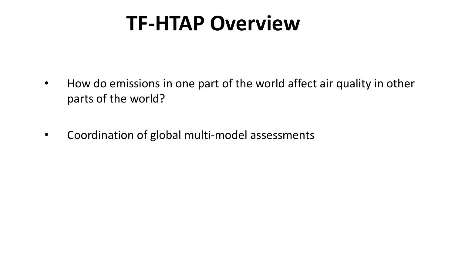#### **TF-HTAP Overview**

- How do emissions in one part of the world affect air quality in other parts of the world?
- Coordination of global multi-model assessments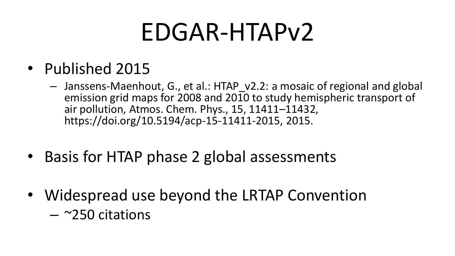### EDGAR-HTAPv2

- Published 2015
	- Janssens-Maenhout, G., et al.: HTAP\_v2.2: a mosaic of regional and global emission grid maps for 2008 and 2010 to study hemispheric transport of air pollution, Atmos. Chem. Phys., 15, 11411–11432, https://doi.org/10.5194/acp-15-11411-2015, 2015.
- Basis for HTAP phase 2 global assessments
- Widespread use beyond the LRTAP Convention
	- $-$  ~250 citations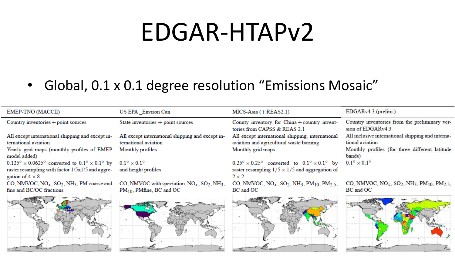#### EDGAR-HTAPv2

#### • Global, 0.1 x 0.1 degree resolution "Emissions Mosaic"

| EMEP-TNO (MACCII)                                                                      | US EPA Environ Can                                                       | $MICS-Asia (+ REAS2.1)$                                                                                 | $EDGARv4.3$ (prelim.)                                                                                   |
|----------------------------------------------------------------------------------------|--------------------------------------------------------------------------|---------------------------------------------------------------------------------------------------------|---------------------------------------------------------------------------------------------------------|
| Country inventories + point sources                                                    | State inventories $+$ point sources                                      | County inventory for China + country invent-<br>tories from CAPSS & REAS 2.1                            | Country inventories from the preliminary ver-<br>sion of $EDGARv4.3$                                    |
| All except international shipping and except in-<br>ternational aviation               | All except international shipping and except in-<br>ternational aviation | All except international shipping, international<br>aviation and agricultural waste burning             | All inclusive international shipping and interna-<br>tional aviation                                    |
| Yearly grid maps (monthly profiles of EMEP<br>model added)                             | Monthly profiles                                                         | Monthly grid maps                                                                                       | Monthly profiles (for three different latitude<br>bands)                                                |
| $0.125^{\circ} \times 0.0625^{\circ}$ converted to $0.1^{\circ} \times 0.1^{\circ}$ by | $0.1^\circ \times 0.1^\circ$                                             | $0.25^{\circ} \times 0.25^{\circ}$ converted to $0.1^{\circ} \times 0.1^{\circ}$ by                     | $0.1^\circ \times 0.1^\circ$                                                                            |
| raster resampling with factor $1/5x1/5$ and aggre-<br>gation of $4 \times 8$           | and height profiles                                                      | raster resampling $1/5 \times 1/5$ and aggregation of<br>$2 \times 2$                                   |                                                                                                         |
| CO, NMVOC, $NO_x$ , $SO_2$ , NH <sub>3</sub> , PM coarse and                           | CO, NMVOC with speciation, $NO_x$ , $SO_2$ , NH <sub>3</sub> ,           | CO, NMVOC, NO <sub>x</sub> , SO <sub>2</sub> , NH <sub>3</sub> , PM <sub>10</sub> , PM <sub>2.5</sub> , | CO, NMVOC, NO <sub>x</sub> , SO <sub>2</sub> , NH <sub>3</sub> , PM <sub>10</sub> , PM <sub>2.5</sub> , |
| fine and BC/OC fractions                                                               | $PM_{10}$ , PMfine, BC and OC                                            | BC and OC                                                                                               | BC and OC                                                                                               |
|                                                                                        |                                                                          |                                                                                                         |                                                                                                         |
|                                                                                        |                                                                          |                                                                                                         |                                                                                                         |
|                                                                                        |                                                                          |                                                                                                         |                                                                                                         |
|                                                                                        |                                                                          |                                                                                                         |                                                                                                         |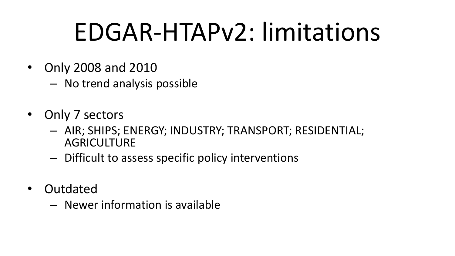## EDGAR-HTAPv2: limitations

- Only 2008 and 2010
	- No trend analysis possible
- Only 7 sectors
	- AIR; SHIPS; ENERGY; INDUSTRY; TRANSPORT; RESIDENTIAL; AGRICULTURE
	- Difficult to assess specific policy interventions
- Outdated
	- Newer information is available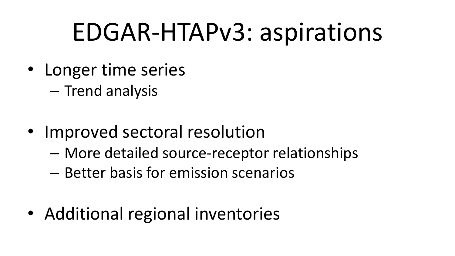### EDGAR-HTAPv3: aspirations

- Longer time series
	- Trend analysis
- Improved sectoral resolution
	- More detailed source-receptor relationships
	- Better basis for emission scenarios
- Additional regional inventories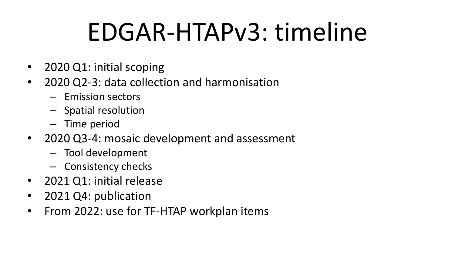# EDGAR-HTAPv3: timeline

- 2020 Q1: initial scoping
- 2020 Q2-3: data collection and harmonisation
	- Emission sectors
	- Spatial resolution
	- Time period
- 2020 Q3-4: mosaic development and assessment
	- Tool development
	- Consistency checks
- 2021 Q1: initial release
- 2021 Q4: publication
- From 2022: use for TF-HTAP workplan items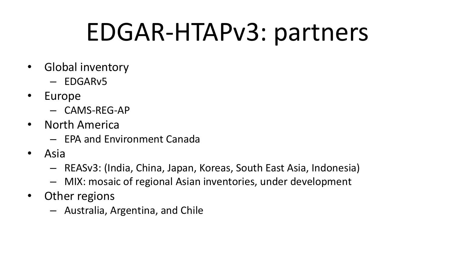### EDGAR-HTAPv3: partners

- Global inventory
	- EDGARv5
- Europe
	- CAMS-REG-AP
- North America
	- EPA and Environment Canada
- Asia
	- REASv3: (India, China, Japan, Koreas, South East Asia, Indonesia)
	- MIX: mosaic of regional Asian inventories, under development
- Other regions
	- Australia, Argentina, and Chile